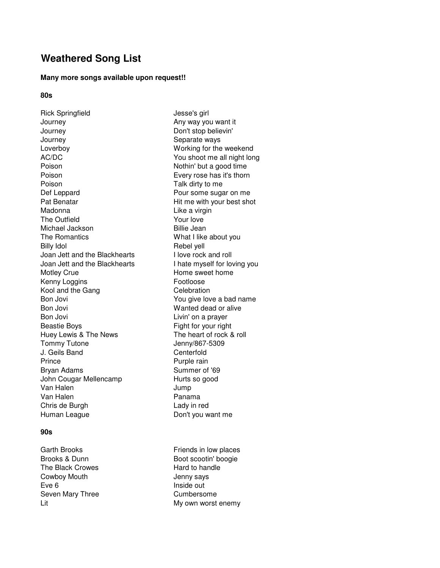# **Weathered Song List**

#### **Many more songs available upon request!!**

# **80s**

Rick Springfield Jesse's girl Journey **Any way you want it** Journey Don't stop believin' Journey **Separate ways** Loverboy Working for the weekend AC/DC You shoot me all night long Poison Nothin' but a good time Poison Every rose has it's thorn Poison **Talk dirty to me** Def Leppard **Pour some sugar on me** Pat Benatar **Pat Benatar** Hit me with your best shot Madonna **Like a virgin** The Outfield The Outfield The Outfield Michael Jackson Billie Jean The Romantics **What I like about you** Billy Idol **Rebel yell** Joan Jett and the Blackhearts I love rock and roll Joan Jett and the Blackhearts I hate myself for loving you Motley Crue **Home** sweet home Kenny Loggins Footloose Kool and the Gang Celebration Bon Jovi **Bon Jovi Bon Jovi Property Property Property Property Property Property Property Property Property Property Property Property Property Property Property Property Property Pro** Bon Jovi **Wanted dead or alive** Bon Jovi **Livin'** on a prayer Beastie Boys **Fight for your right** Huey Lewis & The News The heart of rock & roll Tommy Tutone Jenny/867-5309 J. Geils Band Centerfold Prince Purple rain Bryan Adams Summer of '69 John Cougar Mellencamp Hurts so good Van Halen **Jump** Van Halen **Panama** Chris de Burgh Lady in red Human League **Don't you want me** 

#### **90s**

Garth Brooks **Friends** in low places The Black Crowes **Hard to handle** Cowboy Mouth **Cowboy Mouth** Jenny says Eve 6 **Inside out** Seven Mary Three Cumbersome

Brooks & Dunn Boot scootin' boogie Lit Lit Contract Contract Contract Contract Contract Contract Contract Contract Contract Contract Contract Contract Contract Contract Contract Contract Contract Contract Contract Contract Contract Contract Contract Contrac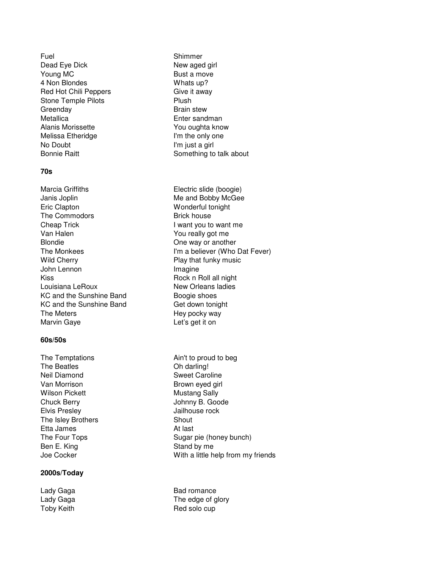Fuel Shimmer Dead Eye Dick New aged girl Young MC Bust a move 4 Non Blondes Whats up? Red Hot Chili Peppers Give it away Stone Temple Pilots **Plush** Greenday **Brain stew** Metallica **Enter sandman** Alanis Morissette **XVIII** You oughta know Melissa Etheridge **I'm the only one** No Doubt **I'm just a girl** 

### **70s**

Marcia Griffiths **Electric slide (boogie)** Janis Joplin Me and Bobby McGee Eric Clapton Wonderful tonight The Commodors **Brick house** Cheap Trick I want you to want me Van Halen You really got me Blondie **Blondie Disk Cone way or another** Wild Cherry **Play that funky music** John Lennon **Imagine** Kiss **Rock n Roll all night** Louisiana LeRoux New Orleans ladies KC and the Sunshine Band Boogie shoes KC and the Sunshine Band Get down tonight The Meters **Hey pocky** way Marvin Gaye **Let's get it on** 

## **60s/50s**

The Temptations **Ain't to proud to beg** The Beatles **Contact Contact Contact Contact Contact Contact Contact Contact Contact Contact Contact Contact Contact Contact Contact Contact Contact Contact Contact Contact Contact Contact Contact Contact Contact Contact C** Neil Diamond Sweet Caroline Van Morrison **Brown eyed girl** Wilson Pickett Mustang Sally Chuck Berry **Chuck Berry Chuck Berry Chuck Berry** Johnny B. Goode Elvis Presley **Access 19 Figure 12** Figure 10 Jailhouse rock The Isley Brothers Shout Etta James **At last** Ben E. King Stand by me

### **2000s/Today**

Bonnie Raitt **Something** to talk about

The Monkees **I'm a believer (Who Dat Fever)** 

The Four Tops Sugar pie (honey bunch) Joe Cocker With a little help from my friends

Lady Gaga Bad romance Lady Gaga The edge of glory Toby Keith **Red solo cup**